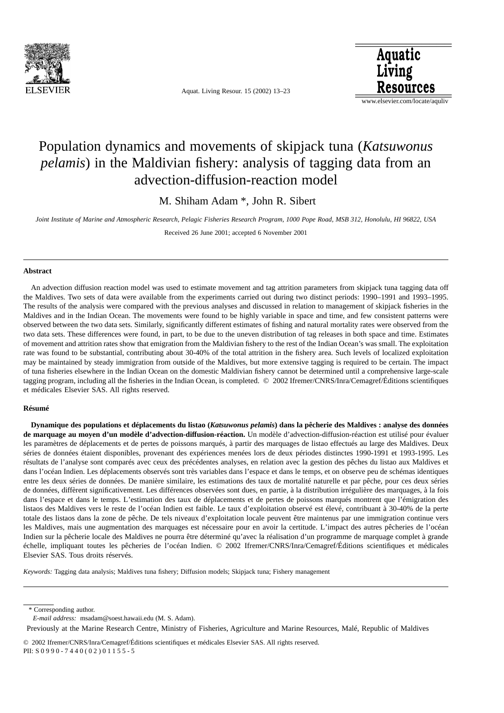

Aquat. Living Resour. 15 (2002) 13–23



www.elsevier.com/locate/aquliv

# Population dynamics and movements of skipjack tuna (*Katsuwonus pelamis*) in the Maldivian fishery: analysis of tagging data from an advection-diffusion-reaction model

M. Shiham Adam \*, John R. Sibert

*Joint Institute of Marine and Atmospheric Research, Pelagic Fisheries Research Program, 1000 Pope Road, MSB 312, Honolulu, HI 96822, USA* Received 26 June 2001; accepted 6 November 2001

#### **Abstract**

An advection diffusion reaction model was used to estimate movement and tag attrition parameters from skipjack tuna tagging data off the Maldives. Two sets of data were available from the experiments carried out during two distinct periods: 1990–1991 and 1993–1995. The results of the analysis were compared with the previous analyses and discussed in relation to management of skipjack fisheries in the Maldives and in the Indian Ocean. The movements were found to be highly variable in space and time, and few consistent patterns were observed between the two data sets. Similarly, significantly different estimates of fishing and natural mortality rates were observed from the two data sets. These differences were found, in part, to be due to the uneven distribution of tag releases in both space and time. Estimates of movement and attrition rates show that emigration from the Maldivian fishery to the rest of the Indian Ocean's was small. The exploitation rate was found to be substantial, contributing about 30-40% of the total attrition in the fishery area. Such levels of localized exploitation may be maintained by steady immigration from outside of the Maldives, but more extensive tagging is required to be certain. The impact of tuna fisheries elsewhere in the Indian Ocean on the domestic Maldivian fishery cannot be determined until a comprehensive large-scale tagging program, including all the fisheries in the Indian Ocean, is completed. © 2002 Ifremer/CNRS/Inra/Cemagref/Éditions scientifiques et médicales Elsevier SAS. All rights reserved.

## **Résumé**

**Dynamique des populations et déplacements du listao (***Katsuwonus pelamis***) dans la pêcherie des Maldives : analyse des données de marquage au moyen d'un modèle d'advection-diffusion-réaction.** Un modèle d'advection-diffusion-réaction est utilisé pour évaluer les paramètres de déplacements et de pertes de poissons marqués, à partir des marquages de listao effectués au large des Maldives. Deux séries de données étaient disponibles, provenant des expériences menées lors de deux périodes distinctes 1990-1991 et 1993-1995. Les résultats de l'analyse sont comparés avec ceux des précédentes analyses, en relation avec la gestion des pêches du listao aux Maldives et dans l'océan Indien. Les déplacements observés sont très variables dans l'espace et dans le temps, et on observe peu de schémas identiques entre les deux séries de données. De manière similaire, les estimations des taux de mortalité naturelle et par pêche, pour ces deux séries de données, diffèrent significativement. Les différences observées sont dues, en partie, à la distribution irrégulière des marquages, à la fois dans l'espace et dans le temps. L'estimation des taux de déplacements et de pertes de poissons marqués montrent que l'émigration des listaos des Maldives vers le reste de l'océan Indien est faible. Le taux d'exploitation observé est élevé, contribuant à 30-40% de la perte totale des listaos dans la zone de pêche. De tels niveaux d'exploitation locale peuvent être maintenus par une immigration continue vers les Maldives, mais une augmentation des marquages est nécessaire pour en avoir la certitude. L'impact des autres pêcheries de l'océan Indien sur la pêcherie locale des Maldives ne pourra être déterminé qu'avec la réalisation d'un programme de marquage complet à grande échelle, impliquant toutes les pêcheries de l'océan Indien. © 2002 Ifremer/CNRS/Inra/Cemagref/Éditions scientifiques et médicales Elsevier SAS. Tous droits réservés.

*Keywords:* Tagging data analysis; Maldives tuna fishery; Diffusion models; Skipjack tuna; Fishery management

\* Corresponding author.

*E-mail address:* msadam@soest.hawaii.edu (M. S. Adam).

Previously at the Marine Research Centre, Ministry of Fisheries, Agriculture and Marine Resources, Malé, Republic of Maldives

© 2002 Ifremer/CNRS/Inra/Cemagref/Éditions scientifiques et médicales Elsevier SAS. All rights reserved. PII: S 0 9 9 0 - 7 4 4 0 ( 0 2 ) 0 1 1 5 5 - 5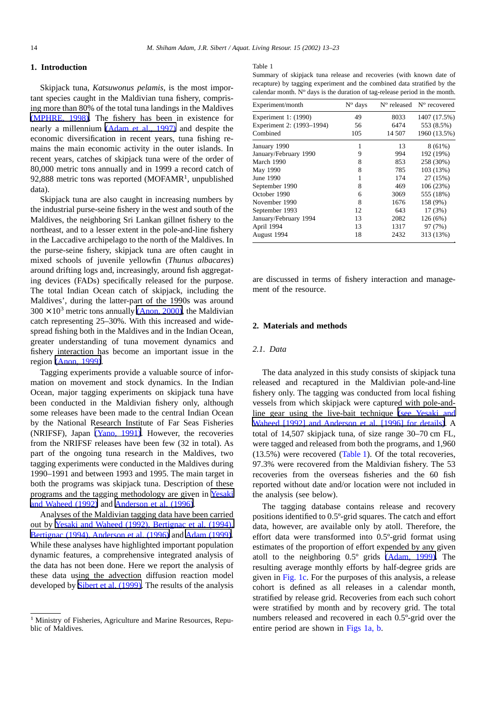# **1. Introduction**

Skipjack tuna, *Katsuwonus pelamis*, is the most important species caught in the Maldivian tuna fishery, comprising more than 80% of the total tuna landings in the Maldives (MPHRE, 1998). The fishery has been in existence for nearly a millennium (Adam et al., 1997) and despite the economic diversification in recent years, tuna fishing remains the main economic activity in the outer islands. In recent years, catches of skipjack tuna were of the order of 80,000 metric tons annually and in 1999 a record catch of 92,888 metric tons was reported  $(MOFAMR<sup>1</sup>,$  unpublished data).

Skipjack tuna are also caught in increasing numbers by the industrial purse-seine fishery in the west and south of the Maldives, the neighboring Sri Lankan gillnet fishery to the northeast, and to a lesser extent in the pole-and-line fishery in the Laccadive archipelago to the north of the Maldives. In the purse-seine fishery, skipjack tuna are often caught in mixed schools of juvenile yellowfin (*Thunus albacares*) around drifting logs and, increasingly, around fish aggregating devices (FADs) specifically released for the purpose. The total Indian Ocean catch of skipjack, including the Maldives', during the latter-part of the 1990s was around  $300 \times 10^3$  metric tons annually (Anon, 2000), the Maldivian catch representing 25–30%. With this increased and widespread fishing both in the Maldives and in the Indian Ocean, greater understanding of tuna movement dynamics and fishery interaction has become an important issue in the region (Anon, 1999).

Tagging experiments provide a valuable source of information on movement and stock dynamics. In the Indian Ocean, major tagging experiments on skipjack tuna have been conducted in the Maldivian fishery only, although some releases have been made to the central Indian Ocean by the National Research Institute of Far Seas Fisheries (NRIFSF), Japan (Yano, 1991). However, the recoveries from the NRIFSF releases have been few (32 in total). As part of the ongoing tuna research in the Maldives, two tagging experiments were conducted in the Maldives during 1990–1991 and between 1993 and 1995. The main target in both the programs was skipjack tuna. Description of these programs and the tagging methodology are given in Yesaki and Waheed (1992) and Anderson et al. (1996).

Analyses of the Maldivian tagging data have been carried out by Yesaki and Waheed (1992), Bertignac et al. (1994), Bertignac (1994), Anderson et al. (1996) and Adam (1999). While these analyses have highlighted important population dynamic features, a comprehensive integrated analysis of the data has not been done. Here we report the analysis of these data using the advection diffusion reaction model developed by Sibert et al. (1999). The results of the analysis

#### Table 1

Summary of skipjack tuna release and recoveries (with known date of recapture) by tagging experiment and the combined data stratified by the calendar month.  $N^{\circ}$  days is the duration of tag-release period in the month.

| Experiment/month          | $N^{\circ}$ days | $No$ released | N° recovered |
|---------------------------|------------------|---------------|--------------|
| Experiment 1: (1990)      | 49               | 8033          | 1407 (17.5%) |
| Experiment 2: (1993–1994) | 56               | 6474          | 553 (8.5%)   |
| Combined                  | 105              | 14 507        | 1960 (13.5%) |
| January 1990              |                  | 13            | $8(61\%)$    |
| January/February 1990     | 9                | 994           | 192 (19%)    |
| March 1990                | 8                | 853           | 258 (30%)    |
| May 1990                  | 8                | 785           | 103 (13%)    |
| June 1990                 |                  | 174           | 27 (15%)     |
| September 1990            | 8                | 469           | 106(23%)     |
| October 1990              | 6                | 3069          | 555 (18%)    |
| November 1990             | 8                | 1676          | 158 (9%)     |
| September 1993            | 12               | 643           | 17 (3%)      |
| January/February 1994     | 13               | 2082          | 126(6%)      |
| April 1994                | 13               | 1317          | 97 (7%)      |
| August 1994               | 18               | 2432          | 313 (13%)    |

are discussed in terms of fishery interaction and management of the resource.

## **2. Materials and methods**

# *2.1. Data*

The data analyzed in this study consists of skipjack tuna released and recaptured in the Maldivian pole-and-line fishery only. The tagging was conducted from local fishing vessels from which skipjack were captured with pole-andline gear using the live-bait technique (see Yesaki and Waheed [1992] and Anderson et al. [1996] for details). A total of 14,507 skipjack tuna, of size range 30–70 cm FL, were tagged and released from both the programs, and 1,960 (13.5%) were recovered (Table 1). Of the total recoveries, 97.3% were recovered from the Maldivian fishery. The 53 recoveries from the overseas fisheries and the 60 fish reported without date and/or location were not included in the analysis (see below).

The tagging database contains release and recovery positions identified to 0.5º-grid squares. The catch and effort data, however, are available only by atoll. Therefore, the effort data were transformed into 0.5º-grid format using estimates of the proportion of effort expended by any given atoll to the neighboring 0.5º grids (Adam, 1999). The resulting average monthly efforts by half-degree grids are given in [Fig. 1c.](#page-2-0) For the purposes of this analysis, a release cohort is defined as all releases in a calendar month, stratified by release grid. Recoveries from each such cohort were stratified by month and by recovery grid. The total numbers released and recovered in each 0.5º-grid over the entire period are shown in [Figs 1a, b.](#page-2-0)

<sup>&</sup>lt;sup>1</sup> Ministry of Fisheries, Agriculture and Marine Resources, Republic of Maldives.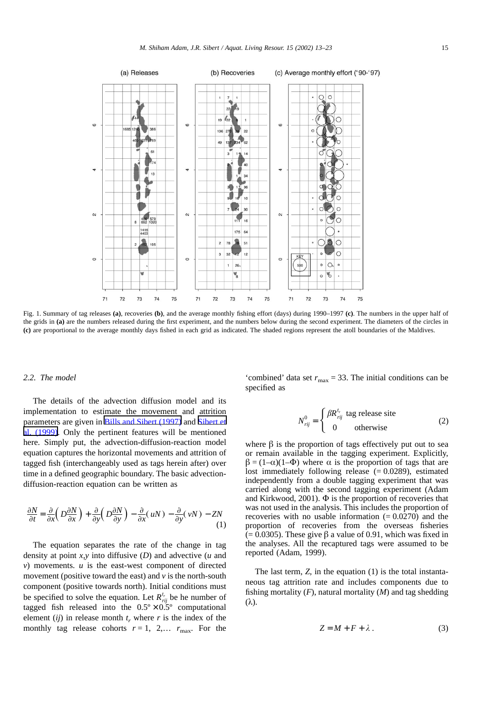<span id="page-2-0"></span>

Fig. 1. Summary of tag releases **(a)**, recoveries **(b)**, and the average monthly fishing effort (days) during 1990–1997 **(c)**. The numbers in the upper half of the grids in **(a)** are the numbers released during the first experiment, and the numbers below during the second experiment. The diameters of the circles in **(c)** are proportional to the average monthly days fished in each grid as indicated. The shaded regions represent the atoll boundaries of the Maldives.

### *2.2. The model*

The details of the advection diffusion model and its implementation to estimate the movement and attrition parameters are given in Bills and Sibert (1997) and Sibert et al. (1999). Only the pertinent features will be mentioned here. Simply put, the advection-diffusion-reaction model equation captures the horizontal movements and attrition of tagged fish (interchangeably used as tags herein after) over time in a defined geographic boundary. The basic advectiondiffusion-reaction equation can be written as

$$
\frac{\partial N}{\partial t} = \frac{\partial}{\partial x} \left( D \frac{\partial N}{\partial x} \right) + \frac{\partial}{\partial y} \left( D \frac{\partial N}{\partial y} \right) - \frac{\partial}{\partial x} (uN) - \frac{\partial}{\partial y} (vN) - ZN \tag{1}
$$

The equation separates the rate of the change in tag density at point *x,y* into diffusive (*D*) and advective (*u* and *v*) movements. *u* is the east-west component of directed movement (positive toward the east) and *v* is the north-south component (positive towards north). Initial conditions must be specified to solve the equation. Let  $R_{rij}^{t_r}$  be he number of tagged fish released into the  $0.5^{\circ} \times 0.5^{\circ}$  computational element (*ij*) in release month  $t_r$ , where  $r$  is the index of the monthly tag release cohorts  $r = 1$ , 2,...  $r_{\text{max}}$ . For the

'combined' data set  $r_{\text{max}} = 33$ . The initial conditions can be specified as

$$
N_{rij}^{0} = \begin{cases} \beta R_{rij}^{t_r} \text{ tag release site} \\ 0 \text{ otherwise} \end{cases}
$$
 (2)

where  $\beta$  is the proportion of tags effectively put out to sea or remain available in the tagging experiment. Explicitly,  $\beta = (1-\alpha)(1-\Phi)$  where  $\alpha$  is the proportion of tags that are lost immediately following release  $(= 0.0289)$ , estimated independently from a double tagging experiment that was carried along with the second tagging experiment (Adam and Kirkwood, 2001).  $\Phi$  is the proportion of recoveries that was not used in the analysis. This includes the proportion of recoveries with no usable information  $(= 0.0270)$  and the proportion of recoveries from the overseas fisheries  $(= 0.0305)$ . These give  $\beta$  a value of 0.91, which was fixed in the analyses. All the recaptured tags were assumed to be reported (Adam, 1999).

The last term, *Z*, in the equation (1) is the total instantaneous tag attrition rate and includes components due to fishing mortality (*F*), natural mortality (*M*) and tag shedding (λ).

$$
Z = M + F + \lambda \tag{3}
$$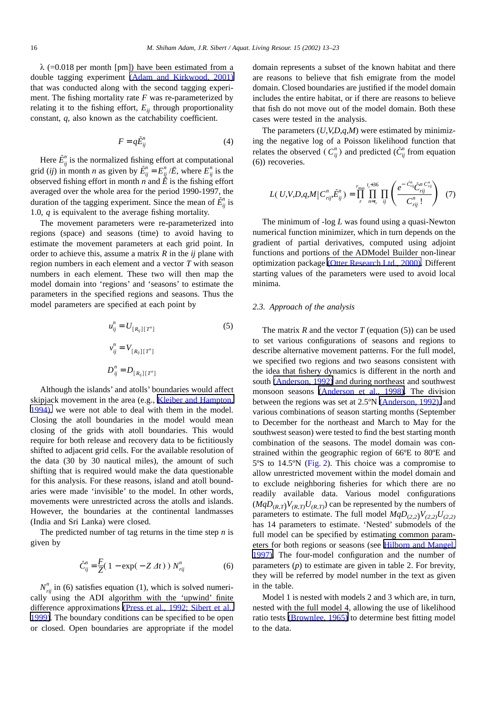$\lambda$  (=0.018 per month [pm]) have been estimated from a double tagging experiment (Adam and Kirkwood, 2001) that was conducted along with the second tagging experiment. The fishing mortality rate *F* was re-parameterized by relating it to the fishing effort,  $E_{ii}$  through proportionality constant, *q*, also known as the catchability coefficient.

$$
F = q\tilde{E}_{ij}^n \tag{4}
$$

Here  $\tilde{E}^n_{ij}$  is the normalized fishing effort at computational grid (*ij*) in month *n* as given by  $\tilde{E}_{ij}^n = E_{ij}^n / \bar{E}$ , where  $E_{ij}^n$  is the observed fishing effort in month *n* and  $\check{E}$  is the fishing effort averaged over the whole area for the period 1990-1997, the duration of the tagging experiment. Since the mean of  $\tilde{E}^n_{ij}$  is 1.0, *q* is equivalent to the average fishing mortality.

The movement parameters were re-parameterized into regions (space) and seasons (time) to avoid having to estimate the movement parameters at each grid point. In order to achieve this, assume a matrix *R* in the *ij* plane with region numbers in each element and a vector *T* with season numbers in each element. These two will then map the model domain into 'regions' and 'seasons' to estimate the parameters in the specified regions and seasons. Thus the model parameters are specified at each point by

$$
u_{ij}^n = U_{[R_{ij}][T^n]}
$$
\n
$$
v_{ij}^n = V_{[R_{ij}][T^n]}
$$
\n
$$
D_{ij}^n = D_{[R_{ij}][T^n]}
$$
\n
$$
(5)
$$

Although the islands' and atolls' boundaries would affect skipjack movement in the area (e.g., Kleiber and Hampton, 1994), we were not able to deal with them in the model. Closing the atoll boundaries in the model would mean closing of the grids with atoll boundaries. This would require for both release and recovery data to be fictitiously shifted to adjacent grid cells. For the available resolution of the data (30 by 30 nautical miles), the amount of such shifting that is required would make the data questionable for this analysis. For these reasons, island and atoll boundaries were made 'invisible' to the model. In other words, movements were unrestricted across the atolls and islands. However, the boundaries at the continental landmasses (India and Sri Lanka) were closed.

The predicted number of tag returns in the time step *n* is given by

$$
\hat{C}_{ij}^{n} = \frac{F}{Z} (1 - \exp(-Z \, \Delta t)) N_{\text{rij}}^{n} \tag{6}
$$

 $N_{\text{rij}}^n$  in (6) satisfies equation (1), which is solved numerically using the ADI algorithm with the 'upwind' finite difference approximations (Press et al., 1992; Sibert et al., 1999). The boundary conditions can be specified to be open or closed. Open boundaries are appropriate if the model domain represents a subset of the known habitat and there are reasons to believe that fish emigrate from the model domain. Closed boundaries are justified if the model domain includes the entire habitat, or if there are reasons to believe that fish do not move out of the model domain. Both these cases were tested in the analysis.

The parameters (*U,V,D,q,M*) were estimated by minimizing the negative log of a Poisson likelihood function that relates the observed  $(C_{ij}^n)$  and predicted  $(\hat{C}_{ij}^n)$  from equation (6)) recoveries.

$$
L(\,U,V,D,q,M\,|\,C_{\,rij}^n,\tilde{E}_{ij}^n\,) = \prod_{r}^{r_{\text{max}}} \prod_{n=t_r}^{t_r+36} \prod_{ij} \left(\frac{e^{-\hat{C}_{\,ij}^n} \hat{C}_{\,rij}^n C_{\,rij}^n}{C_{\,rij}^n}\right) \tag{7}
$$

The minimum of -log *L* was found using a quasi-Newton numerical function minimizer, which in turn depends on the gradient of partial derivatives, computed using adjoint functions and portions of the ADModel Builder non-linear optimization package (Otter Research Ltd., 2000). Different starting values of the parameters were used to avoid local minima.

# *2.3. Approach of the analysis*

The matrix  $R$  and the vector  $T$  (equation (5)) can be used to set various configurations of seasons and regions to describe alternative movement patterns. For the full model, we specified two regions and two seasons consistent with the idea that fishery dynamics is different in the north and south (Anderson, 1992) and during northeast and southwest monsoon seasons (Anderson et al., 1998). The division between the regions was set at 2.5ºN (Anderson, 1992), and various combinations of season starting months (September to December for the northeast and March to May for the southwest season) were tested to find the best starting month combination of the seasons. The model domain was constrained within the geographic region of 66ºE to 80ºE and 5ºS to 14.5ºN [\(Fig. 2](#page-4-0)). This choice was a compromise to allow unrestricted movement within the model domain and to exclude neighboring fisheries for which there are no readily available data. Various model configurations  $(MqD_{(R,T)}V_{(R,T)}U_{(R,T)})$  can be represented by the numbers of parameters to estimate. The full model  $MqD_{(2,2)}V_{(2,2)}U_{(2,2)}$ has 14 parameters to estimate. 'Nested' submodels of the full model can be specified by estimating common parameters for both regions or seasons (see Hilborn and Mangel, 1997). The four-model configuration and the number of parameters (*p*) to estimate are given in table 2. For brevity, they will be referred by model number in the text as given in the table.

Model 1 is nested with models 2 and 3 which are, in turn, nested with the full model 4, allowing the use of likelihood ratio tests (Brownlee, 1965) to determine best fitting model to the data.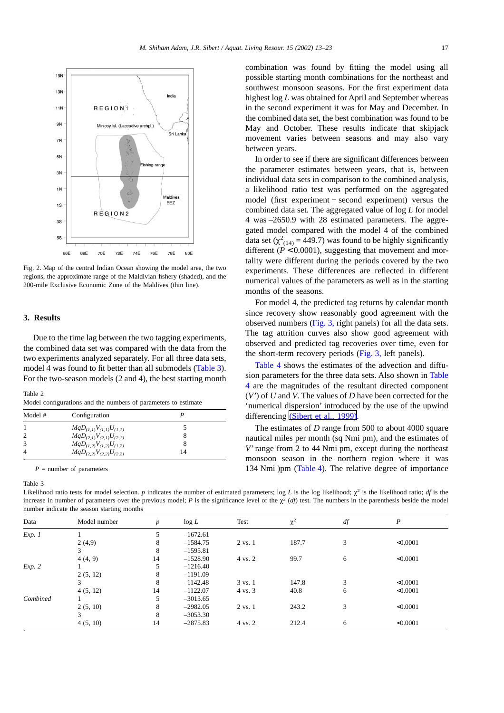<span id="page-4-0"></span>

Fig. 2. Map of the central Indian Ocean showing the model area, the two regions, the approximate range of the Maldivian fishery (shaded), and the 200-mile Exclusive Economic Zone of the Maldives (thin line).

# **3. Results**

Due to the time lag between the two tagging experiments, the combined data set was compared with the data from the two experiments analyzed separately. For all three data sets, model 4 was found to fit better than all submodels (Table 3). For the two-season models (2 and 4), the best starting month

Table 2

Model configurations and the numbers of parameters to estimate

| Model # | Configuration                      |    |  |
|---------|------------------------------------|----|--|
|         | $MqD_{(I, I)}V_{(I, I)}U_{(I, I)}$ |    |  |
|         | $MqD_{(2,I)}V_{(2,I)}U_{(2,I)}$    |    |  |
|         | $MqD_{(1,2)}V_{(1,2)}U_{(1,2)}$    |    |  |
|         | $MqD_{(2,2)}V_{(2,2)}U_{(2,2)}$    | 14 |  |

*P* = number of parameters

Table 3

combination was found by fitting the model using all possible starting month combinations for the northeast and southwest monsoon seasons. For the first experiment data highest log *L* was obtained for April and September whereas in the second experiment it was for May and December. In the combined data set, the best combination was found to be May and October. These results indicate that skipjack movement varies between seasons and may also vary between years.

In order to see if there are significant differences between the parameter estimates between years, that is, between individual data sets in comparison to the combined analysis, a likelihood ratio test was performed on the aggregated model (first experiment + second experiment) versus the combined data set. The aggregated value of log *L* for model 4 was –2650.9 with 28 estimated parameters. The aggregated model compared with the model 4 of the combined data set  $(\chi^2_{(14)} = 449.7)$  was found to be highly significantly different ( $\dot{P}$  < 0.0001), suggesting that movement and mortality were different during the periods covered by the two experiments. These differences are reflected in different numerical values of the parameters as well as in the starting months of the seasons.

For model 4, the predicted tag returns by calendar month since recovery show reasonably good agreement with the observed numbers  $(Fig. 3, right panels)$  $(Fig. 3, right panels)$  $(Fig. 3, right panels)$  for all the data sets. The tag attrition curves also show good agreement with observed and predicted tag recoveries over time, even for the short-term recovery periods [\(Fig. 3,](#page-5-0) left panels).

[Table 4](#page-5-0) shows the estimates of the advection and diffusion parameters for the three data sets. Also shown in Table 4 are the magnitudes of the resultant directed component (*V'*) of *U* and *V*. The values of *D* have been corrected for the 'numerical dispersion' introduced by the use of the upwind differencing (Sibert et al., 1999).

The estimates of *D* range from 500 to about 4000 square nautical miles per month (sq Nmi pm), and the estimates of *V'* range from 2 to 44 Nmi pm, except during the northeast monsoon season in the northern region where it was 134 Nmi )pm ([Table 4](#page-5-0)). The relative degree of importance

Likelihood ratio tests for model selection. *p* indicates the number of estimated parameters; log *L* is the log likelihood;  $\chi^2$  is the likelihood ratio; *df* is the increase in number of parameters over the previous model; *P* is the significance level of the  $\chi^2$  (*df*) test. The numbers in the parenthesis beside the model number indicate the season starting months

| Data     | Model number | $\boldsymbol{p}$ | $\log L$   | Test               | $\chi^2$ | df | P        |
|----------|--------------|------------------|------------|--------------------|----------|----|----------|
| Exp. 1   |              |                  | $-1672.61$ |                    |          |    |          |
|          | 2(4,9)       | 8                | $-1584.75$ | $2 \text{ vs. } 1$ | 187.7    | 3  | < 0.0001 |
|          |              | 8                | $-1595.81$ |                    |          |    |          |
|          | 4(4, 9)      | 14               | $-1528.90$ | 4 vs. 2            | 99.7     | 6  | < 0.0001 |
| Exp. 2   |              |                  | $-1216.40$ |                    |          |    |          |
|          | 2(5, 12)     | 8                | $-1191.09$ |                    |          |    |          |
|          | 3            | 8                | $-1142.48$ | 3 vs. 1            | 147.8    | 3  | < 0.0001 |
|          | 4(5, 12)     | 14               | $-1122.07$ | 4 vs. 3            | 40.8     | 6  | < 0.0001 |
| Combined |              |                  | $-3013.65$ |                    |          |    |          |
|          | 2(5, 10)     | 8                | $-2982.05$ | 2 vs. 1            | 243.2    | 3  | < 0.0001 |
|          | 3            | 8                | $-3053.30$ |                    |          |    |          |
|          | 4(5, 10)     | 14               | $-2875.83$ | 4 vs. 2            | 212.4    | 6  | < 0.0001 |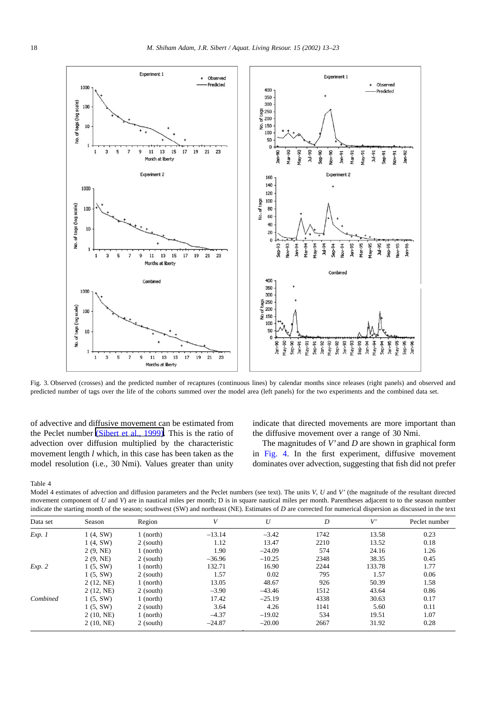<span id="page-5-0"></span>

Fig. 3. Observed (crosses) and the predicted number of recaptures (continuous lines) by calendar months since releases (right panels) and observed and predicted number of tags over the life of the cohorts summed over the model area (left panels) for the two experiments and the combined data set.

of advective and diffusive movement can be estimated from the Peclet number (Sibert et al., 1999). This is the ratio of advection over diffusion multiplied by the characteristic movement length *l* which, in this case has been taken as the model resolution (i.e., 30 Nmi). Values greater than unity

indicate that directed movements are more important than the diffusive movement over a range of 30 Nmi.

The magnitudes of *V'* and *D* are shown in graphical form in [Fig. 4.](#page-6-0) In the first experiment, diffusive movement dominates over advection, suggesting that fish did not prefer

Table 4

Model 4 estimates of advection and diffusion parameters and the Peclet numbers (see text). The units *V*, *U* and *V'* (the magnitude of the resultant directed movement component of *U* and *V*) are in nautical miles per month; D is in square nautical miles per month. Parentheses adjacent to to the season number indicate the starting month of the season; southwest (SW) and northeast (NE). Estimates of *D* are corrected for numerical dispersion as discussed in the text

| Data set | Season    | Region      | V        | U        | $\boldsymbol{D}$ | V'     | Peclet number |
|----------|-----------|-------------|----------|----------|------------------|--------|---------------|
| Exp. 1   | 1(4, SW)  | $1$ (north) | $-13.14$ | $-3.42$  | 1742             | 13.58  | 0.23          |
|          | 1(4, SW)  | 2 (south)   | 1.12     | 13.47    | 2210             | 13.52  | 0.18          |
|          | 2(9, NE)  | $1$ (north) | 1.90     | $-24.09$ | 574              | 24.16  | 1.26          |
|          | 2(9, NE)  | 2 (south)   | $-36.96$ | $-10.25$ | 2348             | 38.35  | 0.45          |
| Exp. 2   | 1(5, SW)  | $1$ (north) | 132.71   | 16.90    | 2244             | 133.78 | 1.77          |
|          | 1(5, SW)  | 2 (south)   | 1.57     | 0.02     | 795              | 1.57   | 0.06          |
|          | 2(12, NE) | $1$ (north) | 13.05    | 48.67    | 926              | 50.39  | 1.58          |
|          | 2(12, NE) | 2 (south)   | $-3.90$  | $-43.46$ | 1512             | 43.64  | 0.86          |
| Combined | 1(5, SW)  | $1$ (north) | 17.42    | $-25.19$ | 4338             | 30.63  | 0.17          |
|          | 1(5, SW)  | 2 (south)   | 3.64     | 4.26     | 1141             | 5.60   | 0.11          |
|          | 2(10, NE) | $1$ (north) | $-4.37$  | $-19.02$ | 534              | 19.51  | 1.07          |
|          | 2(10, NE) | 2 (south)   | $-24.87$ | $-20.00$ | 2667             | 31.92  | 0.28          |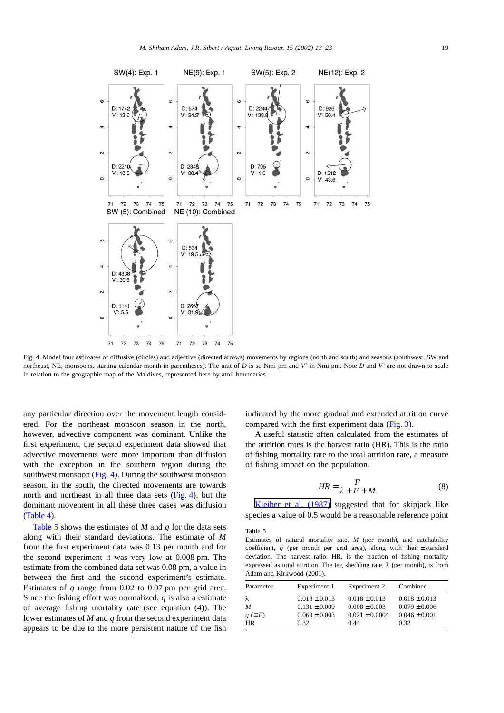<span id="page-6-0"></span>

Fig. 4. Model four estimates of diffusive (circles) and adjective (directed arrows) movements by regions (north and south) and seasons (southwest, SW and northeast, NE, monsoons, starting calendar month in parentheses). The unit of *D* is sq Nmi pm and *V'* in Nmi pm. Note *D* and *V'* are not drawn to scale in relation to the geographic map of the Maldives, represented here by atoll boundaries.

any particular direction over the movement length considered. For the northeast monsoon season in the north, however, advective component was dominant. Unlike the first experiment, the second experiment data showed that advective movements were more important than diffusion with the exception in the southern region during the southwest monsoon (Fig. 4). During the southwest monsoon season, in the south, the directed movements are towards north and northeast in all three data sets (Fig. 4), but the dominant movement in all these three cases was diffusion (Table 4).

Table 5 shows the estimates of *M* and *q* for the data sets along with their standard deviations. The estimate of *M* from the first experiment data was 0.13 per month and for the second experiment it was very low at 0.008 pm. The estimate from the combined data set was 0.08 pm, a value in between the first and the second experiment's estimate. Estimates of *q* range from 0.02 to 0.07 pm per grid area. Since the fishing effort was normalized, *q* is also a estimate of average fishing mortality rate (see equation (4)). The lower estimates of *M* and *q* from the second experiment data appears to be due to the more persistent nature of the fish

indicated by the more gradual and extended attrition curve compared with the first experiment data [\(Fig. 3\)](#page-5-0).

A useful statistic often calculated from the estimates of the attrition rates is the harvest ratio (HR). This is the ratio of fishing mortality rate to the total attrition rate, a measure of fishing impact on the population.

$$
HR = \frac{F}{\lambda + F + M} \tag{8}
$$

Kleiber et al. (1987) suggested that for skipjack like species a value of 0.5 would be a reasonable reference point

#### Table 5

Estimates of natural mortality rate, *M* (per month), and catchability coefficient,  $q$  (per month per grid area), along with their  $\pm$  standard deviation. The harvest ratio, HR, is the fraction of fishing mortality expressed as total attrition. The tag shedding rate,  $\lambda$  (per month), is from Adam and Kirkwood (2001).

| Experiment 1      | Experiment 2       | Combined          |
|-------------------|--------------------|-------------------|
| $0.018 \pm 0.013$ | $0.018 \pm 0.013$  | $0.018 \pm 0.013$ |
| $0.131 \pm 0.009$ | $0.008 \pm 0.003$  | $0.079 \pm 0.006$ |
| $0.069 \pm 0.003$ | $0.021 \pm 0.0004$ | $0.046 \pm 0.001$ |
| 0.32              | 0.44               | 0.32              |
|                   |                    |                   |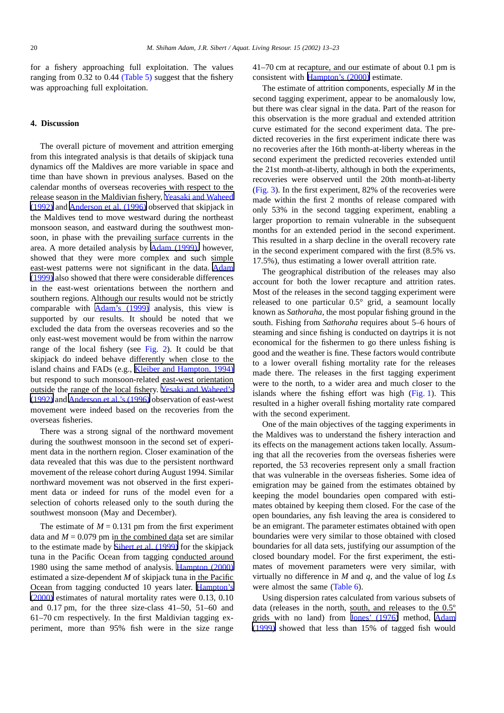for a fishery approaching full exploitation. The values ranging from 0.32 to 0.44 [\(Table 5\)](#page-6-0) suggest that the fishery was approaching full exploitation.

# **4. Discussion**

The overall picture of movement and attrition emerging from this integrated analysis is that details of skipjack tuna dynamics off the Maldives are more variable in space and time than have shown in previous analyses. Based on the calendar months of overseas recoveries with respect to the release season in the Maldivian fishery, Yeasaki and Waheed (1992) and Anderson et al. (1996) observed that skipjack in the Maldives tend to move westward during the northeast monsoon season, and eastward during the southwest monsoon, in phase with the prevailing surface currents in the area. A more detailed analysis by Adam (1999), however, showed that they were more complex and such simple east-west patterns were not significant in the data. Adam (1999) also showed that there were considerable differences in the east-west orientations between the northern and southern regions. Although our results would not be strictly comparable with Adam's (1999) analysis, this view is supported by our results. It should be noted that we excluded the data from the overseas recoveries and so the only east-west movement would be from within the narrow range of the local fishery (see [Fig. 2](#page-4-0)). It could be that skipjack do indeed behave differently when close to the island chains and FADs (e.g., Kleiber and Hampton, 1994) but respond to such monsoon-related east-west orientation outside the range of the local fishery. Yesaki and Waheed's (1992) and Anderson et al.'s (1996) observation of east-west movement were indeed based on the recoveries from the overseas fisheries.

There was a strong signal of the northward movement during the southwest monsoon in the second set of experiment data in the northern region. Closer examination of the data revealed that this was due to the persistent northward movement of the release cohort during August 1994. Similar northward movement was not observed in the first experiment data or indeed for runs of the model even for a selection of cohorts released only to the south during the southwest monsoon (May and December).

The estimate of  $M = 0.131$  pm from the first experiment data and  $M = 0.079$  pm in the combined data set are similar to the estimate made by Sibert et al. (1999) for the skipjack tuna in the Pacific Ocean from tagging conducted around 1980 using the same method of analysis. Hampton (2000) estimated a size-dependent *M* of skipjack tuna in the Pacific Ocean from tagging conducted 10 years later. Hampton's (2000) estimates of natural mortality rates were 0.13, 0.10 and 0.17 pm, for the three size-class 41–50, 51–60 and 61–70 cm respectively. In the first Maldivian tagging experiment, more than 95% fish were in the size range 41–70 cm at recapture, and our estimate of about 0.1 pm is consistent with Hampton's (2000) estimate.

The estimate of attrition components, especially *M* in the second tagging experiment, appear to be anomalously low, but there was clear signal in the data. Part of the reason for this observation is the more gradual and extended attrition curve estimated for the second experiment data. The predicted recoveries in the first experiment indicate there was no recoveries after the 16th month-at-liberty whereas in the second experiment the predicted recoveries extended until the 21st month-at-liberty, although in both the experiments, recoveries were observed until the 20th month-at-liberty ([Fig. 3\)](#page-5-0). In the first experiment, 82% of the recoveries were made within the first 2 months of release compared with only 53% in the second tagging experiment, enabling a larger proportion to remain vulnerable in the subsequent months for an extended period in the second experiment. This resulted in a sharp decline in the overall recovery rate in the second experiment compared with the first (8.5% vs. 17.5%), thus estimating a lower overall attrition rate.

The geographical distribution of the releases may also account for both the lower recapture and attrition rates. Most of the releases in the second tagging experiment were released to one particular 0.5° grid, a seamount locally known as *Sathoraha*, the most popular fishing ground in the south. Fishing from *Sathoraha* requires about 5–6 hours of steaming and since fishing is conducted on daytrips it is not economical for the fishermen to go there unless fishing is good and the weather is fine. These factors would contribute to a lower overall fishing mortality rate for the releases made there. The releases in the first tagging experiment were to the north, to a wider area and much closer to the islands where the fishing effort was high ([Fig. 1](#page-2-0)). This resulted in a higher overall fishing mortality rate compared with the second experiment.

One of the main objectives of the tagging experiments in the Maldives was to understand the fishery interaction and its effects on the management actions taken locally. Assuming that all the recoveries from the overseas fisheries were reported, the 53 recoveries represent only a small fraction that was vulnerable in the overseas fisheries. Some idea of emigration may be gained from the estimates obtained by keeping the model boundaries open compared with estimates obtained by keeping them closed. For the case of the open boundaries, any fish leaving the area is considered to be an emigrant. The parameter estimates obtained with open boundaries were very similar to those obtained with closed boundaries for all data sets, justifying our assumption of the closed boundary model. For the first experiment, the estimates of movement parameters were very similar, with virtually no difference in *M* and *q*, and the value of log *L*s were almost the same ([Table 6](#page-8-0)).

Using dispersion rates calculated from various subsets of data (releases in the north, south, and releases to the 0.5º grids with no land) from Jones' (1976) method, Adam (1999) showed that less than 15% of tagged fish would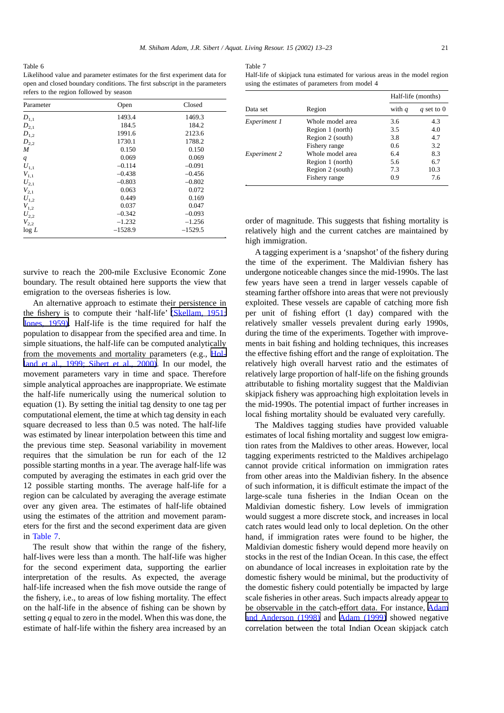<span id="page-8-0"></span>Table 6 Likelihood value and parameter estimates for the first experiment data for open and closed boundary conditions. The first subscript in the parameters refers to the region followed by season

| Parameter      | Open      | Closed    |
|----------------|-----------|-----------|
| $D_{1,1}$      | 1493.4    | 1469.3    |
| $D_{2,1}$      | 184.5     | 184.2     |
| $D_{1,2}$      | 1991.6    | 2123.6    |
| $D_{2,2}$      | 1730.1    | 1788.2    |
| M              | 0.150     | 0.150     |
| $\overline{q}$ | 0.069     | 0.069     |
| $U_{1,1}$      | $-0.114$  | $-0.091$  |
| $V_{1,1}$      | $-0.438$  | $-0.456$  |
| $U_{2,1}$      | $-0.803$  | $-0.802$  |
| $V_{2,1}$      | 0.063     | 0.072     |
| $U_{1,2}$      | 0.449     | 0.169     |
| $V_{1,2}$      | 0.037     | 0.047     |
| $U_{2,2}$      | $-0.342$  | $-0.093$  |
| $V_{2,2}$      | $-1.232$  | $-1.256$  |
| log L          | $-1528.9$ | $-1529.5$ |

survive to reach the 200-mile Exclusive Economic Zone boundary. The result obtained here supports the view that emigration to the overseas fisheries is low.

An alternative approach to estimate their persistence in the fishery is to compute their 'half-life' (Skellam, 1951; Jones, 1959). Half-life is the time required for half the population to disappear from the specified area and time. In simple situations, the half-life can be computed analytically from the movements and mortality parameters (e.g., Holland et al., 1999; Sibert et al., 2000). In our model, the movement parameters vary in time and space. Therefore simple analytical approaches are inappropriate. We estimate the half-life numerically using the numerical solution to equation (1). By setting the initial tag density to one tag per computational element, the time at which tag density in each square decreased to less than 0.5 was noted. The half-life was estimated by linear interpolation between this time and the previous time step. Seasonal variability in movement requires that the simulation be run for each of the 12 possible starting months in a year. The average half-life was computed by averaging the estimates in each grid over the 12 possible starting months. The average half-life for a region can be calculated by averaging the average estimate over any given area. The estimates of half-life obtained using the estimates of the attrition and movement parameters for the first and the second experiment data are given in Table 7.

The result show that within the range of the fishery, half-lives were less than a month. The half-life was higher for the second experiment data, supporting the earlier interpretation of the results. As expected, the average half-life increased when the fish move outside the range of the fishery, i.e., to areas of low fishing mortality. The effect on the half-life in the absence of fishing can be shown by setting *q* equal to zero in the model. When this was done, the estimate of half-life within the fishery area increased by an Table 7

Half-life of skipjack tuna estimated for various areas in the model region using the estimates of parameters from model 4

|              |                  | Half-life (months) |              |  |
|--------------|------------------|--------------------|--------------|--|
| Data set     | Region           | with $q$           | q set to $0$ |  |
| Experiment 1 | Whole model area | 3.6                | 4.3          |  |
|              | Region 1 (north) | 3.5                | 4.0          |  |
|              | Region 2 (south) | 3.8                | 4.7          |  |
|              | Fishery range    | 0.6                | 3.2          |  |
| Experiment 2 | Whole model area | 6.4                | 8.3          |  |
|              | Region 1 (north) | 5.6                | 6.7          |  |
|              | Region 2 (south) | 7.3                | 10.3         |  |
|              | Fishery range    | 0.9                | 7.6          |  |

order of magnitude. This suggests that fishing mortality is relatively high and the current catches are maintained by high immigration.

A tagging experiment is a 'snapshot' of the fishery during the time of the experiment. The Maldivian fishery has undergone noticeable changes since the mid-1990s. The last few years have seen a trend in larger vessels capable of steaming farther offshore into areas that were not previously exploited. These vessels are capable of catching more fish per unit of fishing effort (1 day) compared with the relatively smaller vessels prevalent during early 1990s, during the time of the experiments. Together with improvements in bait fishing and holding techniques, this increases the effective fishing effort and the range of exploitation. The relatively high overall harvest ratio and the estimates of relatively large proportion of half-life on the fishing grounds attributable to fishing mortality suggest that the Maldivian skipjack fishery was approaching high exploitation levels in the mid-1990s. The potential impact of further increases in local fishing mortality should be evaluated very carefully.

The Maldives tagging studies have provided valuable estimates of local fishing mortality and suggest low emigration rates from the Maldives to other areas. However, local tagging experiments restricted to the Maldives archipelago cannot provide critical information on immigration rates from other areas into the Maldivian fishery. In the absence of such information, it is difficult estimate the impact of the large-scale tuna fisheries in the Indian Ocean on the Maldivian domestic fishery. Low levels of immigration would suggest a more discrete stock, and increases in local catch rates would lead only to local depletion. On the other hand, if immigration rates were found to be higher, the Maldivian domestic fishery would depend more heavily on stocks in the rest of the Indian Ocean. In this case, the effect on abundance of local increases in exploitation rate by the domestic fishery would be minimal, but the productivity of the domestic fishery could potentially be impacted by large scale fisheries in other areas. Such impacts already appear to be observable in the catch-effort data. For instance, Adam and Anderson (1998) and Adam (1999) showed negative correlation between the total Indian Ocean skipjack catch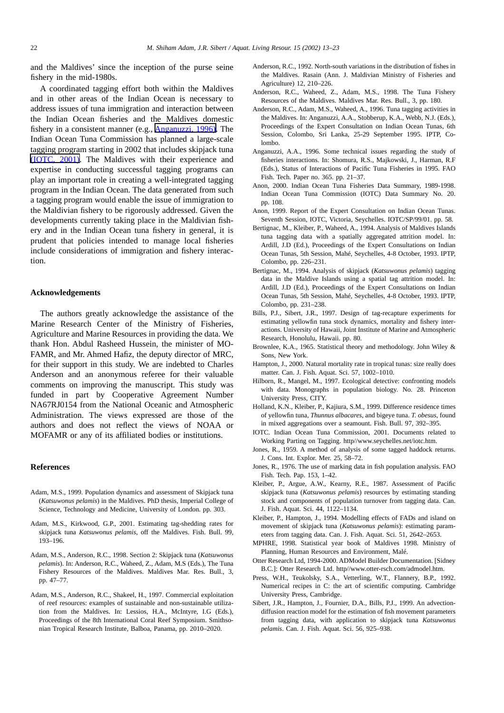and the Maldives' since the inception of the purse seine fishery in the mid-1980s.

A coordinated tagging effort both within the Maldives and in other areas of the Indian Ocean is necessary to address issues of tuna immigration and interaction between the Indian Ocean fisheries and the Maldives domestic fishery in a consistent manner (e.g., Anganuzzi, 1996). The Indian Ocean Tuna Commission has planned a large-scale tagging program starting in 2002 that includes skipjack tuna (IOTC, 2001). The Maldives with their experience and expertise in conducting successful tagging programs can play an important role in creating a well-integrated tagging program in the Indian Ocean. The data generated from such a tagging program would enable the issue of immigration to the Maldivian fishery to be rigorously addressed. Given the developments currently taking place in the Maldivian fishery and in the Indian Ocean tuna fishery in general, it is prudent that policies intended to manage local fisheries include considerations of immigration and fishery interaction.

### **Acknowledgements**

The authors greatly acknowledge the assistance of the Marine Research Center of the Ministry of Fisheries, Agriculture and Marine Resources in providing the data. We thank Hon. Abdul Rasheed Hussein, the minister of MO-FAMR, and Mr. Ahmed Hafiz, the deputy director of MRC, for their support in this study. We are indebted to Charles Anderson and an anonymous referee for their valuable comments on improving the manuscript. This study was funded in part by Cooperative Agreement Number NA67RJ0154 from the National Oceanic and Atmospheric Administration. The views expressed are those of the authors and does not reflect the views of NOAA or MOFAMR or any of its affiliated bodies or institutions.

# **References**

- Adam, M.S., 1999. Population dynamics and assessment of Skipjack tuna (*Katsuwonus pelamis*) in the Maldives. PhD thesis, Imperial College of Science, Technology and Medicine, University of London. pp. 303.
- Adam, M.S., Kirkwood, G.P., 2001. Estimating tag-shedding rates for skipjack tuna *Katsuwonus pelamis*, off the Maldives. Fish. Bull. 99, 193–196.
- Adam, M.S., Anderson, R.C., 1998. Section 2: Skipjack tuna (*Katsuwonus pelamis*). In: Anderson, R.C., Waheed, Z., Adam, M.S (Eds.), The Tuna Fishery Resources of the Maldives. Maldives Mar. Res. Bull., 3, pp. 47–77.
- Adam, M.S., Anderson, R.C., Shakeel, H., 1997. Commercial exploitation of reef resources: examples of sustainable and non-sustainable utilization from the Maldives. In: Lessios, H.A., McIntyre, I.G (Eds.), Proceedings of the 8th International Coral Reef Symposium. Smithsonian Tropical Research Institute, Balboa, Panama, pp. 2010–2020.
- Anderson, R.C., 1992. North-south variations in the distribution of fishes in the Maldives. Rasain (Ann. J. Maldivian Ministry of Fisheries and Agriculture) 12, 210–226.
- Anderson, R.C., Waheed, Z., Adam, M.S., 1998. The Tuna Fishery Resources of the Maldives. Maldives Mar. Res. Bull., 3, pp. 180.
- Anderson, R.C., Adam, M.S., Waheed, A., 1996. Tuna tagging activities in the Maldives. In: Anganuzzi, A.A., Stobberup, K.A., Webb, N.J. (Eds.), Proceedings of the Expert Consultation on Indian Ocean Tunas, 6th Session, Colombo, Sri Lanka, 25-29 September 1995. IPTP, Colombo.
- Anganuzzi, A.A., 1996. Some technical issues regarding the study of fisheries interactions. In: Shomura, R.S., Majkowski, J., Harman, R.F (Eds.), Status of Interactions of Pacific Tuna Fisheries in 1995. FAO Fish. Tech. Paper no. 365. pp. 21–37.
- Anon, 2000. Indian Ocean Tuna Fisheries Data Summary, 1989-1998. Indian Ocean Tuna Commission (IOTC) Data Summary No. 20. pp. 108.
- Anon, 1999. Report of the Expert Consultation on Indian Ocean Tunas. Seventh Session, IOTC, Victoria, Seychelles. IOTC/SP/99/01. pp. 58.
- Bertignac, M., Kleiber, P., Waheed, A., 1994. Analysis of Maldives Islands tuna tagging data with a spatially aggregated attrition model. In: Ardill, J.D (Ed.), Proceedings of the Expert Consultations on Indian Ocean Tunas, 5th Session, Mahé, Seychelles, 4-8 October, 1993. IPTP, Colombo, pp. 226–231.
- Bertignac, M., 1994. Analysis of skipjack (*Katsuwonus pelamis*) tagging data in the Maldive Islands using a spatial tag attrition model. In: Ardill, J.D (Ed.), Proceedings of the Expert Consultations on Indian Ocean Tunas, 5th Session, Mahé, Seychelles, 4-8 October, 1993. IPTP, Colombo, pp. 231–238.
- Bills, P.J., Sibert, J.R., 1997. Design of tag-recapture experiments for estimating yellowfin tuna stock dynamics, mortality and fishery interactions. University of Hawaii, Joint Institute of Marine and Atmospheric Research, Honolulu, Hawaii. pp. 80.
- Brownlee, K.A., 1965. Statistical theory and methodology. John Wiley & Sons, New York.
- Hampton, J., 2000. Natural mortality rate in tropical tunas: size really does matter. Can. J. Fish. Aquat. Sci. 57, 1002–1010.
- Hilborn, R., Mangel, M., 1997. Ecological detective: confronting models with data. Monographs in population biology. No. 28. Princeton University Press, CITY.
- Holland, K.N., Kleiber, P., Kajiura, S.M., 1999. Difference residence times of yellowfin tuna, *Thunnus albacares*, and bigeye tuna. *T. obesus*, found in mixed aggregations over a seamount. Fish. Bull. 97, 392–395.
- IOTC. Indian Ocean Tuna Commission, 2001. Documents related to Working Parting on Tagging. http//www.seychelles.net/iotc.htm.
- Jones, R., 1959. A method of analysis of some tagged haddock returns. J. Cons. Int. Explor. Mer. 25, 58–72.
- Jones, R., 1976. The use of marking data in fish population analysis. FAO Fish. Tech. Pap. 153, 1–42.
- Kleiber, P., Argue, A.W., Kearny, R.E., 1987. Assessment of Pacific skipjack tuna (*Katsuwonus pelamis*) resources by estimating standing stock and components of population turnover from tagging data. Can. J. Fish. Aquat. Sci. 44, 1122–1134.
- Kleiber, P., Hampton, J., 1994. Modelling effects of FADs and island on movement of skipjack tuna (*Katsuwonus pelamis*): estimating parameters from tagging data. Can. J. Fish. Aquat. Sci. 51, 2642–2653.
- MPHRE, 1998. Statistical year book of Maldives 1998. Ministry of Planning, Human Resources and Environment, Malé.
- Otter Research Ltd, 1994-2000. ADModel Builder Documentation. [Sidney B.C.]: Otter Research Ltd. http//www.otter-rsch.com/admodel.htm.
- Press, W.H., Teukolsky, S.A., Vetterling, W.T., Flannery, B.P., 1992. Numerical recipes in C: the art of scientific computing. Cambridge University Press, Cambridge.
- Sibert, J.R., Hampton, J., Fournier, D.A., Bills, P.J., 1999. An advectiondiffusion reaction model for the estimation of fish movement parameters from tagging data, with application to skipjack tuna *Katsuwonus pelamis*. Can. J. Fish. Aquat. Sci. 56, 925–938.